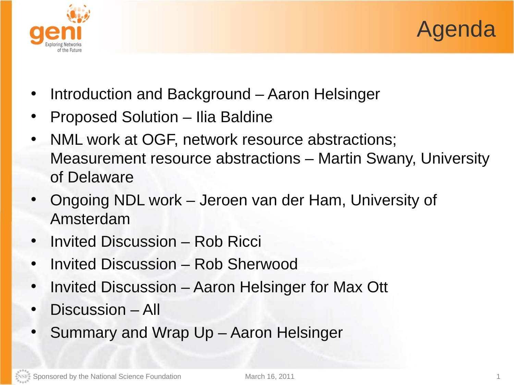



- Introduction and Background Aaron Helsinger
- Proposed Solution Ilia Baldine
- NML work at OGF, network resource abstractions; Measurement resource abstractions – Martin Swany, University of Delaware
- Ongoing NDL work Jeroen van der Ham, University of Amsterdam
- Invited Discussion Rob Ricci
- Invited Discussion Rob Sherwood
- Invited Discussion Aaron Helsinger for Max Ott
- Discussion All
- Summary and Wrap Up Aaron Helsinger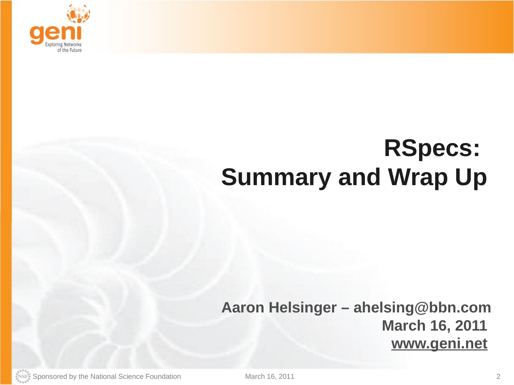

## **RSpecs: Summary and Wrap Up**

## **Aaron Helsinger – ahelsing@bbn.com March 16, 2011 www.geni.net**

Sponsored by the National Science Foundation March 16, 2011 March 16, 2011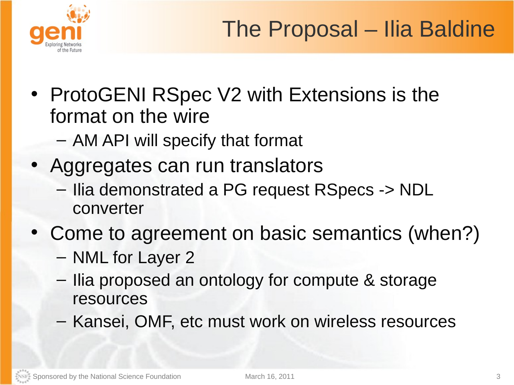

- ProtoGENI RSpec V2 with Extensions is the format on the wire
	- AM API will specify that format
- Aggregates can run translators
	- Ilia demonstrated a PG request RSpecs -> NDL converter
- Come to agreement on basic semantics (when?)
	- NML for Layer 2
	- Ilia proposed an ontology for compute & storage resources
	- Kansei, OMF, etc must work on wireless resources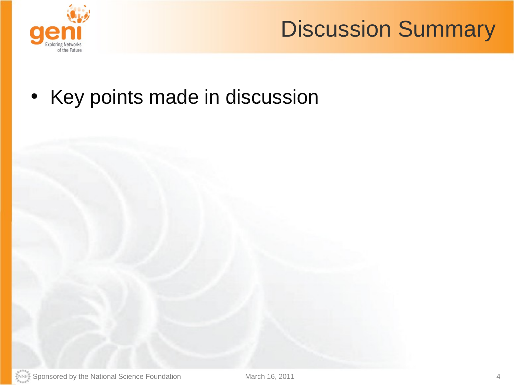

## Discussion Summary

• Key points made in discussion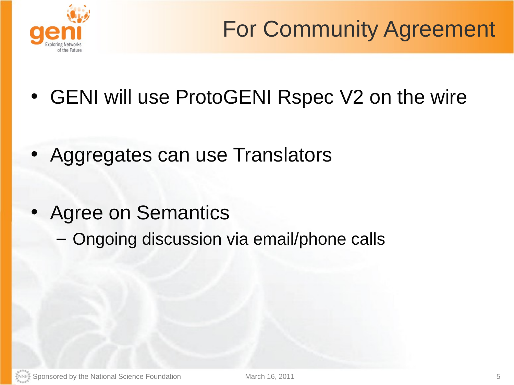

- GENI will use ProtoGENI Rspec V2 on the wire
- Aggregates can use Translators
- Agree on Semantics
	- Ongoing discussion via email/phone calls